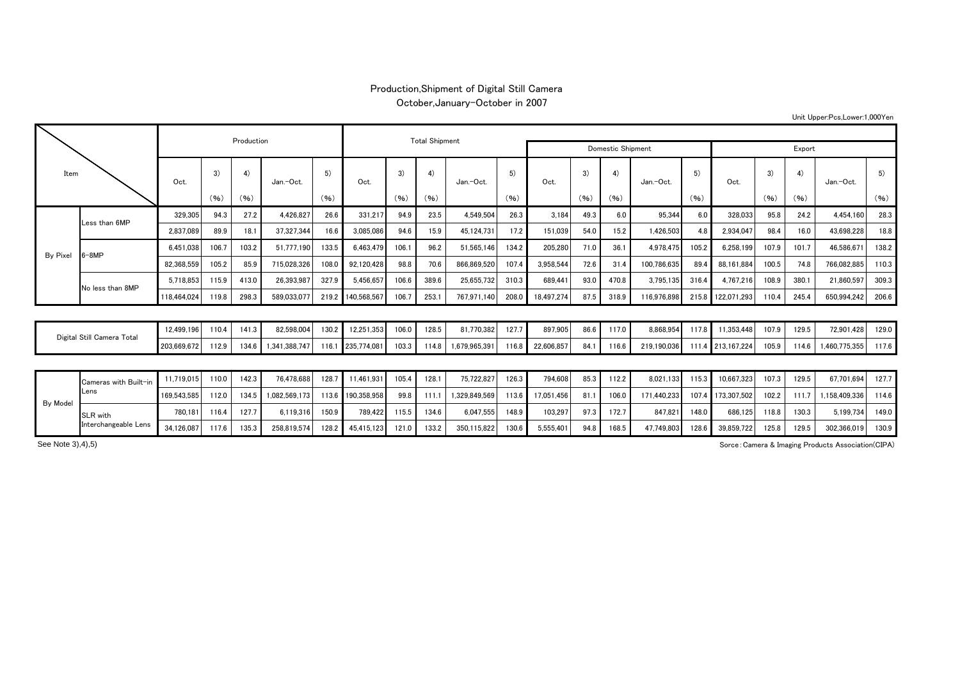## Production,Shipment of Digital Still Camera

October,January-October in 2007

|  | Unit Upper:Pcs,Lower:1,000Yen |
|--|-------------------------------|
|--|-------------------------------|

| Item            |                            |             |                      | Production |               |       |                   | <b>Total Shipment</b> |       |                   |            |            |      |       |             |       |                   |       |       |              |       |
|-----------------|----------------------------|-------------|----------------------|------------|---------------|-------|-------------------|-----------------------|-------|-------------------|------------|------------|------|-------|-------------|-------|-------------------|-------|-------|--------------|-------|
|                 |                            |             |                      |            |               |       |                   |                       |       | Domestic Shipment |            | Export     |      |       |             |       |                   |       |       |              |       |
|                 |                            | Oct.        | 3)                   | 4)         | Jan.-Oct.     | 5)    | Oct.              | 3)                    | 4)    | Jan.-Oct.         | 5)<br>(96) | Oct.       | 3)   | 4)    | Jan.-Oct.   | 5)    | Oct.              | 3)    | 4)    | Jan.-Oct.    | 5)    |
|                 |                            |             | (96)                 | (96)       |               | (96)  |                   | (96)                  | (96)  |                   |            |            | (96) | (96)  |             | (96)  |                   | (96)  | (96)  |              | (96)  |
|                 | Less than 6MP              | 329,305     | 94.3                 | 27.2       | 4,426,827     | 26.6  | 331,217           | 94.9                  | 23.5  | 4,549,504         | 26.3       | 3.184      | 49.3 | 6.0   | 95,344      | 6.0   | 328,033           | 95.8  | 24.2  | 4.454.160    | 28.3  |
|                 |                            | 2,837,089   | 89.9                 | 18.1       | 37,327,344    | 16.6  | 3,085,086         | 94.6                  | 15.9  | 45.124.731        | 17.2       | 151.039    | 54.0 | 15.2  | 1.426.503   | 4.8   | 2.934.047         | 98.4  | 16.0  | 43.698.228   | 18.8  |
| <b>By Pixel</b> | $-8MP$                     | 6.451.038   | 106.7                | 103.2      | 51.777.190    | 133.5 | 6.463.479         | 106.1                 | 96.2  | 51.565.146        | 134.2      | 205.280    | 71.0 | 36.1  | 4.978.475   | 105.2 | 6.258.199         | 107.9 | 101.7 | 46,586.671   | 138.2 |
|                 |                            | 82,368,559  | 105.2                | 85.9       | 715,028,326   | 108.0 | 92,120,428        | 98.8                  | 70.6  | 866,869,520       | 107.4      | 3,958,544  | 72.6 | 31.4  | 100,786,635 | 89.4  | 88,161,884        | 100.5 | 74.8  | 766,082,885  | 110.3 |
|                 | No less than 8MP           | 5.718.853   | 115.9                | 413.0      | 26.393.987    | 327.9 | 5.456.657         | 106.6                 | 389.6 | 25.655.732        | 310.3      | 689.441    | 93.0 | 470.8 | 3.795.135   | 316.4 | 4.767.216         | 108.9 | 380.1 | 21,860,597   | 309.3 |
|                 |                            | 118,464,024 | 119.8                | 298.3      | 589.033.077   | 219.2 | 140,568,567       | 106.7                 | 253.1 | 767,971,140       | 208.0      | 18,497,274 | 87.5 | 318.9 | 116.976.898 | 215.8 | 22,071,293        | 110.4 | 245.4 | 650.994.242  | 206.6 |
|                 |                            |             |                      |            |               |       |                   |                       |       |                   |            |            |      |       |             |       |                   |       |       |              |       |
|                 | Digital Still Camera Total |             | 110.4<br>12.499.196  | 141.3      | 82.598.004    | 130.2 | 12.251.353        | 106.0                 | 128.5 | 81,770,382        | 127.7      | 897.905    | 86.6 | 117.0 | 8.868.954   | 117.8 | 11.353.448        | 107.9 | 129.5 | 72.901.428   | 129.0 |
|                 |                            |             | 112.9<br>203,669,672 | 134.6      | 1.341.388.747 | 116.1 | 235,774.081       | 103.3                 | 114.8 | 1.679.965.391     | 116.8      | 22,606,857 | 84.1 | 116.6 | 219.190.036 |       | 111.4 213.167.224 | 105.9 | 114.6 | ,460,775,355 | 117.6 |
|                 |                            |             |                      |            |               |       |                   |                       |       |                   |            |            |      |       |             |       |                   |       |       |              |       |
|                 | Cameras with Built-in      | 11.719.015  | 110.0                | 142.3      | 76.478.688    | 128.7 | 11.461.931        | 105.4                 | 128.1 | 75.722.827        | 126.3      | 794.608    | 85.3 | 112.2 | 8.021.133   | 115.3 | 10.667.323        | 107.3 | 129.5 | 67.701.694   | 127.7 |
|                 | Lens                       | 169,543,585 | 112.0                | 134.5      | 1,082,569,173 |       | 113.6 190,358,958 | 99.8                  | 111.1 | 1,329,849,569     | 113.6      | 17,051,456 | 81.1 | 106.0 | 171.440.233 | 107.4 | 173,307,502       | 102.2 | 111.7 | 158.409.336  | 114.6 |
| By Model        | 01.011                     | 780.181     | 116.4                | 127.7      | 6.119.316     | 150.9 | 789.422           | 115.5                 | 134.6 | 6.047.555         | 148.9      | 103.297    | 97.3 | 172.7 | 847.821     | 148.0 | 686.125           | 118.8 | 130.3 | 5.199.734    | 149.0 |

34,126,087 117.6 | 135.3 | 258,819,574 128.2 | 45,415,123 121.0 | 133.2 | 350,115,822 | 130.6 | 5,555,401 | 94.8 | 168.5 | 47,749,803 | 128.6 | 39,859,722 | 125.8 | 129.5 | 302,366,019 | 130.9

Sorce:Camera & Imaging Products Association(CIPA)

See Note 3), 4), 5)

SLR with Interchangeable Lens